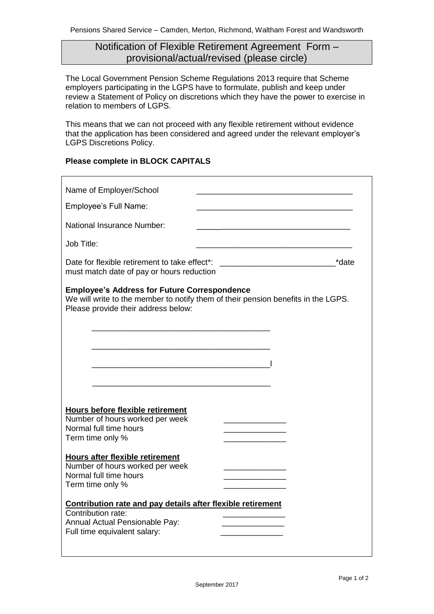# Notification of Flexible Retirement Agreement Form – provisional/actual/revised (please circle)

The Local Government Pension Scheme Regulations 2013 require that Scheme employers participating in the LGPS have to formulate, publish and keep under review a Statement of Policy on discretions which they have the power to exercise in relation to members of LGPS.

This means that we can not proceed with any flexible retirement without evidence that the application has been considered and agreed under the relevant employer's LGPS Discretions Policy.

## **Please complete in BLOCK CAPITALS**

| Name of Employer/School<br>Employee's Full Name:<br>National Insurance Number:                                                                                                  |       |
|---------------------------------------------------------------------------------------------------------------------------------------------------------------------------------|-------|
|                                                                                                                                                                                 |       |
|                                                                                                                                                                                 |       |
|                                                                                                                                                                                 |       |
|                                                                                                                                                                                 |       |
| Job Title:                                                                                                                                                                      |       |
| Date for flexible retirement to take effect*:<br>must match date of pay or hours reduction                                                                                      | *date |
| <b>Employee's Address for Future Correspondence</b><br>We will write to the member to notify them of their pension benefits in the LGPS.<br>Please provide their address below: |       |
|                                                                                                                                                                                 |       |
|                                                                                                                                                                                 |       |
|                                                                                                                                                                                 |       |
|                                                                                                                                                                                 |       |
|                                                                                                                                                                                 |       |
| <b>Hours before flexible retirement</b>                                                                                                                                         |       |
| Number of hours worked per week<br>Normal full time hours                                                                                                                       |       |
| Term time only %                                                                                                                                                                |       |
|                                                                                                                                                                                 |       |
| Hours after flexible retirement<br>Number of hours worked per week                                                                                                              |       |
| Normal full time hours                                                                                                                                                          |       |
| Term time only %                                                                                                                                                                |       |
| Contribution rate and pay details after flexible retirement                                                                                                                     |       |
|                                                                                                                                                                                 |       |
| Contribution rate:                                                                                                                                                              |       |
| Annual Actual Pensionable Pay:<br>Full time equivalent salary:                                                                                                                  |       |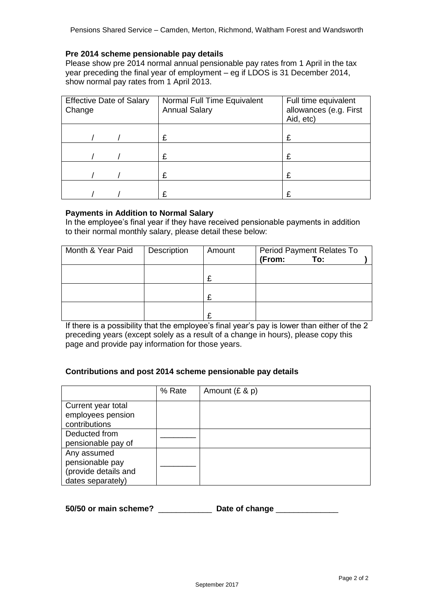### **Pre 2014 scheme pensionable pay details**

Please show pre 2014 normal annual pensionable pay rates from 1 April in the tax year preceding the final year of employment – eg if LDOS is 31 December 2014, show normal pay rates from 1 April 2013.

| <b>Effective Date of Salary</b><br>Change |  | Normal Full Time Equivalent<br><b>Annual Salary</b> | Full time equivalent<br>allowances (e.g. First<br>Aid, etc) |  |  |
|-------------------------------------------|--|-----------------------------------------------------|-------------------------------------------------------------|--|--|
|                                           |  | £                                                   | £                                                           |  |  |
|                                           |  | £                                                   | £                                                           |  |  |
|                                           |  | £                                                   | £                                                           |  |  |
|                                           |  |                                                     | £                                                           |  |  |

#### **Payments in Addition to Normal Salary**

In the employee's final year if they have received pensionable payments in addition to their normal monthly salary, please detail these below:

| Month & Year Paid | Description | Amount | <b>Period Payment Relates To</b> |  |
|-------------------|-------------|--------|----------------------------------|--|
|                   |             |        | (From:<br>To:                    |  |
|                   |             |        |                                  |  |
|                   |             | £      |                                  |  |
|                   |             |        |                                  |  |
|                   |             | ᡗ      |                                  |  |
|                   |             |        |                                  |  |
|                   |             |        |                                  |  |

If there is a possibility that the employee's final year's pay is lower than either of the 2 preceding years (except solely as a result of a change in hours), please copy this page and provide pay information for those years.

## **Contributions and post 2014 scheme pensionable pay details**

|                                                                             | % Rate | Amount $(E & p)$ |
|-----------------------------------------------------------------------------|--------|------------------|
| Current year total<br>employees pension<br>contributions                    |        |                  |
| Deducted from<br>pensionable pay of                                         |        |                  |
| Any assumed<br>pensionable pay<br>(provide details and<br>dates separately) |        |                  |

**50/50 or main scheme?** \_\_\_\_\_\_\_\_\_\_\_\_ **Date of change** \_\_\_\_\_\_\_\_\_\_\_\_\_\_